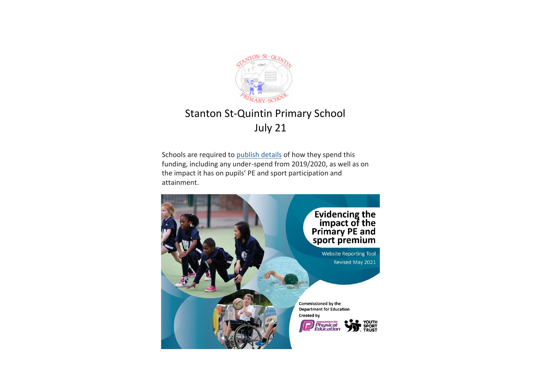

## Stanton St-Quintin Primary School July 21

Schools are required to publish details of how they spend this funding, including any under-spend from 2019/2020, as well as on the impact it has on pupils' PE and sport participation and attainment.

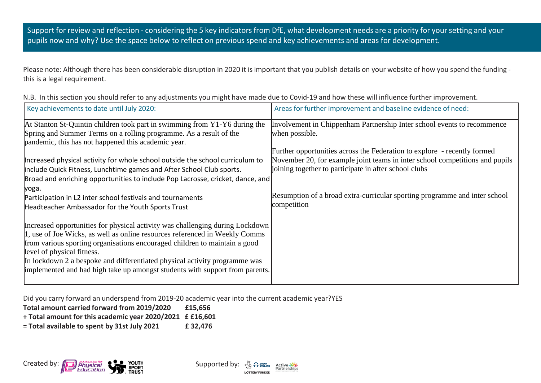Support for review and reflection - considering the 5 key indicators from DfE, what development needs are a priority for your setting and your pupils now and why? Use the space below to reflect on previous spend and key achievements and areas for development.

Please note: Although there has been considerable disruption in 2020 it is important that you publish details on your website of how you spend the funding this is a legal requirement.

|  |  |  |  |  | N.B. In this section you should refer to any adjustments you might have made due to Covid-19 and how these will influence further improvement. |
|--|--|--|--|--|------------------------------------------------------------------------------------------------------------------------------------------------|
|--|--|--|--|--|------------------------------------------------------------------------------------------------------------------------------------------------|

| Key achievements to date until July 2020:                                                                                 | Areas for further improvement and baseline evidence of need:                 |
|---------------------------------------------------------------------------------------------------------------------------|------------------------------------------------------------------------------|
| At Stanton St-Quintin children took part in swimming from Y1-Y6 during the                                                | Involvement in Chippenham Partnership Inter school events to recommence      |
| Spring and Summer Terms on a rolling programme. As a result of the<br>pandemic, this has not happened this academic year. | when possible.                                                               |
|                                                                                                                           | Further opportunities across the Federation to explore - recently formed     |
| Increased physical activity for whole school outside the school curriculum to                                             | November 20, for example joint teams in inter school competitions and pupils |
| include Quick Fitness, Lunchtime games and After School Club sports.                                                      | joining together to participate in after school clubs                        |
| Broad and enriching opportunities to include Pop Lacrosse, cricket, dance, and                                            |                                                                              |
| yoga.                                                                                                                     |                                                                              |
| Participation in L2 inter school festivals and tournaments                                                                | Resumption of a broad extra-curricular sporting programme and inter school   |
| Headteacher Ambassador for the Youth Sports Trust                                                                         | competition                                                                  |
| Increased opportunities for physical activity was challenging during Lockdown                                             |                                                                              |
| 1, use of Joe Wicks, as well as online resources referenced in Weekly Comms                                               |                                                                              |
| from various sporting organisations encouraged children to maintain a good                                                |                                                                              |
| level of physical fitness.                                                                                                |                                                                              |
| In lockdown 2 a bespoke and differentiated physical activity programme was                                                |                                                                              |
| implemented and had high take up amongst students with support from parents.                                              |                                                                              |
|                                                                                                                           |                                                                              |

Did you carry forward an underspend from 2019-20 academic year into the current academic year?YES

**Total amount carried forward from 2019/2020 £15,656**

**+ Total amount for this academic year 2020/2021 £ £16,601**

**= Total available to spent by 31st July 2021 £ 32,476**



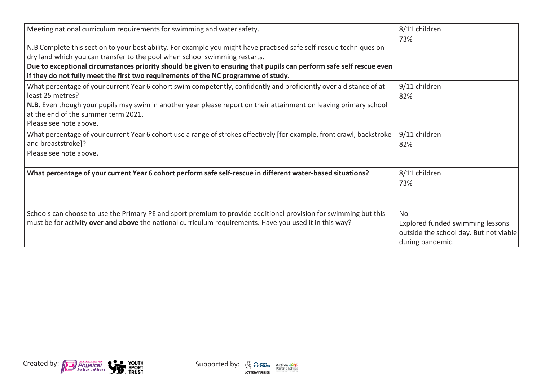| Meeting national curriculum requirements for swimming and water safety.                                                                                                                                                                                                                                                                                                                                        | 8/11 children                                                                                               |
|----------------------------------------------------------------------------------------------------------------------------------------------------------------------------------------------------------------------------------------------------------------------------------------------------------------------------------------------------------------------------------------------------------------|-------------------------------------------------------------------------------------------------------------|
| N.B Complete this section to your best ability. For example you might have practised safe self-rescue techniques on<br>dry land which you can transfer to the pool when school swimming restarts.<br>Due to exceptional circumstances priority should be given to ensuring that pupils can perform safe self rescue even<br>if they do not fully meet the first two requirements of the NC programme of study. | 73%                                                                                                         |
| What percentage of your current Year 6 cohort swim competently, confidently and proficiently over a distance of at<br>least 25 metres?<br>N.B. Even though your pupils may swim in another year please report on their attainment on leaving primary school<br>at the end of the summer term 2021.<br>Please see note above.                                                                                   | 9/11 children<br>82%                                                                                        |
| What percentage of your current Year 6 cohort use a range of strokes effectively [for example, front crawl, backstroke<br>and breaststroke]?<br>Please see note above.                                                                                                                                                                                                                                         | 9/11 children<br>82%                                                                                        |
| What percentage of your current Year 6 cohort perform safe self-rescue in different water-based situations?                                                                                                                                                                                                                                                                                                    | 8/11 children<br>73%                                                                                        |
| Schools can choose to use the Primary PE and sport premium to provide additional provision for swimming but this<br>must be for activity over and above the national curriculum requirements. Have you used it in this way?                                                                                                                                                                                    | <b>No</b><br>Explored funded swimming lessons<br>outside the school day. But not viable<br>during pandemic. |



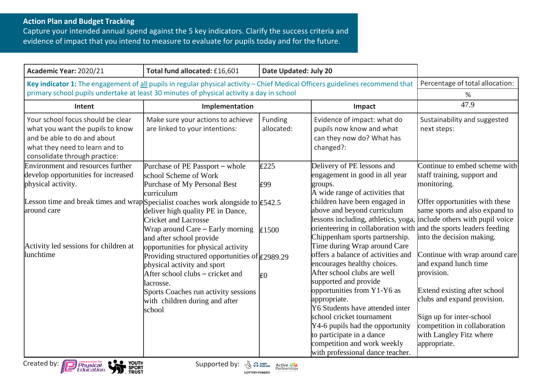## **Action Plan and Budget Tracking**

Capture your intended annual spend against the 5 key indicators. Clarify the success criteria and evidence of impact that you intend to measure to evaluate for pupils today and for the future.

| Academic Year: 2020/21                                                                                                                                                                                                     | Total fund allocated: £16,601                                                                                                                                                                                          | Date Updated: July 20 |                                                                                                                                                                                                                                                                                                        |                                                                                                                                                                                  |
|----------------------------------------------------------------------------------------------------------------------------------------------------------------------------------------------------------------------------|------------------------------------------------------------------------------------------------------------------------------------------------------------------------------------------------------------------------|-----------------------|--------------------------------------------------------------------------------------------------------------------------------------------------------------------------------------------------------------------------------------------------------------------------------------------------------|----------------------------------------------------------------------------------------------------------------------------------------------------------------------------------|
| Key indicator 1: The engagement of all pupils in regular physical activity - Chief Medical Officers guidelines recommend that<br>primary school pupils undertake at least 30 minutes of physical activity a day in school  |                                                                                                                                                                                                                        |                       | Percentage of total allocation:<br>%                                                                                                                                                                                                                                                                   |                                                                                                                                                                                  |
| Intent                                                                                                                                                                                                                     | Implementation                                                                                                                                                                                                         |                       | Impact                                                                                                                                                                                                                                                                                                 | 47.9                                                                                                                                                                             |
| Your school focus should be clear<br>what you want the pupils to know<br>and be able to do and about<br>what they need to learn and to<br>consolidate through practice:                                                    | Make sure your actions to achieve<br>are linked to your intentions:                                                                                                                                                    | Funding<br>allocated: | Evidence of impact: what do<br>pupils now know and what<br>can they now do? What has<br>changed?:                                                                                                                                                                                                      | Sustainability and suggested<br>next steps:                                                                                                                                      |
| <b>Environment and resources further</b><br>develop opportunities for increased<br>physical activity.<br>Lesson time and break times and wrap Specialist coaches work alongside to $\text{\textsf{E}}542.5$<br>around care | Purchase of PE Passport – whole<br>school Scheme of Work<br>Purchase of My Personal Best<br>curriculum<br>deliver high quality PE in Dance,                                                                            | E225<br>E99           | Delivery of PE lessons and<br>engagement in good in all year<br>groups.<br>A wide range of activities that<br>children have been engaged in<br>above and beyond curriculum                                                                                                                             | Continue to embed scheme with<br>staff training, support and<br>monitoring.<br>Offer opportunities with these<br>same sports and also expand to                                  |
| Activity led sessions for children at<br>lunchtime                                                                                                                                                                         | <b>Cricket and Lacrosse</b><br>Wrap around Care – Early morning<br>and after school provide<br>opportunities for physical activity<br>Providing structured opportunities of $f$ 2989.29<br>physical activity and sport | E1500                 | lessons including, athletics, yoga, include others with pupil voice<br>orienteering in collaboration with and the sports leaders feeding<br>Chippenham sports partnership.<br>Time during Wrap around Care<br>offers a balance of activities and<br>encourages healthy choices.                        | into the decision making.<br>Continue with wrap around care<br>and expand lunch time                                                                                             |
|                                                                                                                                                                                                                            | After school clubs – cricket and<br>lacrosse.<br>Sports Coaches run activity sessions<br>with children during and after<br>school                                                                                      | E <sub>0</sub>        | After school clubs are well<br>supported and provide<br>opportunities from Y1-Y6 as<br>appropriate.<br>Y6 Students have attended inter<br>school cricket tournament<br>Y4-6 pupils had the opportunity<br>to participate in a dance<br>competition and work weekly<br>with professional dance teacher. | provision.<br>Extend existing after school<br>clubs and expand provision.<br>Sign up for inter-school<br>competition in collaboration<br>with Langley Fitz where<br>appropriate. |



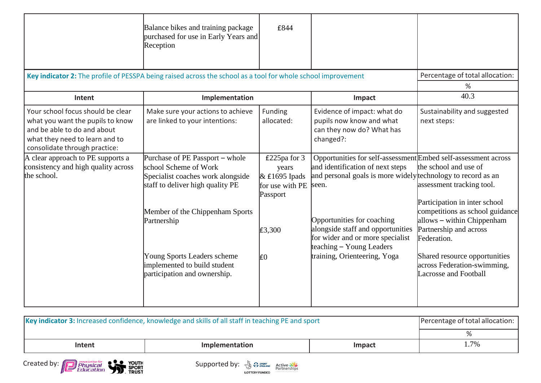|                                                                                                                                                                         | Balance bikes and training package<br>purchased for use in Early Years and<br>Reception                                           | £844                                                                    |                                                                                                                                                                             |                                                                                                        |
|-------------------------------------------------------------------------------------------------------------------------------------------------------------------------|-----------------------------------------------------------------------------------------------------------------------------------|-------------------------------------------------------------------------|-----------------------------------------------------------------------------------------------------------------------------------------------------------------------------|--------------------------------------------------------------------------------------------------------|
| Key indicator 2: The profile of PESSPA being raised across the school as a tool for whole school improvement                                                            |                                                                                                                                   |                                                                         |                                                                                                                                                                             | Percentage of total allocation:                                                                        |
|                                                                                                                                                                         |                                                                                                                                   |                                                                         |                                                                                                                                                                             | %                                                                                                      |
| Intent                                                                                                                                                                  | Implementation                                                                                                                    |                                                                         | Impact                                                                                                                                                                      | 40.3                                                                                                   |
| Your school focus should be clear<br>what you want the pupils to know<br>and be able to do and about<br>what they need to learn and to<br>consolidate through practice: | Make sure your actions to achieve<br>are linked to your intentions:                                                               | Funding<br>allocated:                                                   | Evidence of impact: what do<br>pupils now know and what<br>can they now do? What has<br>changed?:                                                                           | Sustainability and suggested<br>next steps:                                                            |
| A clear approach to PE supports a<br>consistency and high quality across<br>the school.                                                                                 | Purchase of PE Passport – whole<br>school Scheme of Work<br>Specialist coaches work alongside<br>staff to deliver high quality PE | £225pa for 3<br>years<br>$&$ £1695 Ipads<br>for use with PE<br>Passport | Opportunities for self-assessment Embed self-assessment across<br>and identification of next steps<br>and personal goals is more widely rechnology to record as an<br>seen. | the school and use of<br>assessment tracking tool.<br>Participation in inter school                    |
|                                                                                                                                                                         | Member of the Chippenham Sports<br>Partnership                                                                                    | £3,300                                                                  | Opportunities for coaching<br>alongside staff and opportunities<br>for wider and or more specialist<br>teaching – Young Leaders                                             | competitions as school guidance<br>allows – within Chippenham<br>Partnership and across<br>Federation. |
|                                                                                                                                                                         | Young Sports Leaders scheme<br>implemented to build student<br>participation and ownership.                                       | E <sub>0</sub>                                                          | training, Orienteering, Yoga                                                                                                                                                | Shared resource opportunities<br>across Federation-swimming,<br><b>Lacrosse and Football</b>           |

| Key indicator 3: Increased confidence, knowledge and skills of all staff in teaching PE and sport | Percentage of total allocation: |        |      |
|---------------------------------------------------------------------------------------------------|---------------------------------|--------|------|
|                                                                                                   |                                 |        |      |
| Intent                                                                                            | Implementation                  | Impact | l.7% |



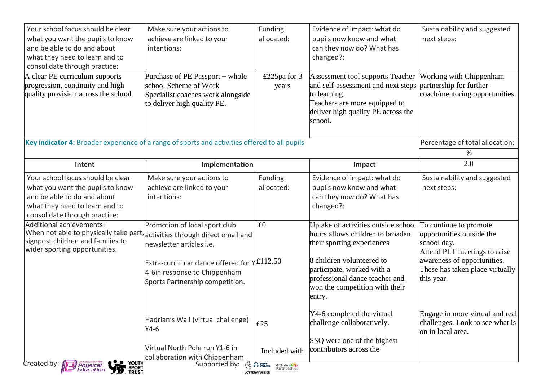| Your school focus should be clear<br>what you want the pupils to know<br>and be able to do and about                                                                    | Make sure your actions to<br>achieve are linked to your<br>intentions:                                            | Funding<br>allocated:                                                    | Evidence of impact: what do<br>pupils now know and what<br>can they now do? What has                                                  | Sustainability and suggested<br>next steps:                                             |
|-------------------------------------------------------------------------------------------------------------------------------------------------------------------------|-------------------------------------------------------------------------------------------------------------------|--------------------------------------------------------------------------|---------------------------------------------------------------------------------------------------------------------------------------|-----------------------------------------------------------------------------------------|
| what they need to learn and to                                                                                                                                          |                                                                                                                   |                                                                          | changed?:                                                                                                                             |                                                                                         |
| consolidate through practice:                                                                                                                                           |                                                                                                                   |                                                                          |                                                                                                                                       |                                                                                         |
| A clear PE curriculum supports                                                                                                                                          | Purchase of PE Passport – whole                                                                                   | £225pa for 3                                                             | Assessment tool supports Teacher                                                                                                      | <b>Working with Chippenham</b>                                                          |
| progression, continuity and high                                                                                                                                        | school Scheme of Work                                                                                             | years                                                                    | and self-assessment and next steps                                                                                                    | partnership for further                                                                 |
| quality provision across the school                                                                                                                                     | Specialist coaches work alongside<br>to deliver high quality PE.                                                  |                                                                          | to learning.<br>Teachers are more equipped to<br>deliver high quality PE across the<br>school.                                        | coach/mentoring opportunities.                                                          |
| Key indicator 4: Broader experience of a range of sports and activities offered to all pupils                                                                           |                                                                                                                   |                                                                          |                                                                                                                                       | Percentage of total allocation:                                                         |
|                                                                                                                                                                         |                                                                                                                   |                                                                          |                                                                                                                                       | %                                                                                       |
| Intent                                                                                                                                                                  | Implementation                                                                                                    |                                                                          | Impact                                                                                                                                | 2.0                                                                                     |
| Your school focus should be clear<br>what you want the pupils to know<br>and be able to do and about<br>what they need to learn and to<br>consolidate through practice: | Make sure your actions to<br>achieve are linked to your<br>intentions:                                            | Funding<br>allocated:                                                    | Evidence of impact: what do<br>pupils now know and what<br>can they now do? What has<br>changed?:                                     | Sustainability and suggested<br>next steps:                                             |
| Additional achievements:                                                                                                                                                | Promotion of local sport club                                                                                     | £0                                                                       | Uptake of activities outside school                                                                                                   | To continue to promote                                                                  |
| When not able to physically take part, activities through direct email and                                                                                              |                                                                                                                   |                                                                          | hours allows children to broaden                                                                                                      | opportunities outside the                                                               |
| signpost children and families to<br>wider sporting opportunities.                                                                                                      | newsletter articles i.e.                                                                                          |                                                                          | their sporting experiences                                                                                                            | school day.<br>Attend PLT meetings to raise                                             |
|                                                                                                                                                                         | Extra-curricular dance offered for $Y E112.50$<br>4-6in response to Chippenham<br>Sports Partnership competition. |                                                                          | 8 children volunteered to<br>participate, worked with a<br>professional dance teacher and<br>won the competition with their<br>entry. | awareness of opportunities.<br>These has taken place virtually<br>this year.            |
|                                                                                                                                                                         | Hadrian's Wall (virtual challenge)<br>$Y4-6$                                                                      | E25                                                                      | Y4-6 completed the virtual<br>challenge collaboratively.                                                                              | Engage in more virtual and real<br>challenges. Look to see what is<br>on in local area. |
|                                                                                                                                                                         | Virtual North Pole run Y1-6 in<br>collaboration with Chippenham                                                   | Included with                                                            | SSQ were one of the highest<br>contributors across the                                                                                |                                                                                         |
| YOUTH<br><b>D.</b> FRUST<br>Created by: <i>ii</i><br><b>Physical</b><br>Education                                                                                       | Supported by:                                                                                                     | <b>LOS PP ENGLAND</b><br>Active<br>Partnerships<br><b>LOTTERY FUNDED</b> |                                                                                                                                       |                                                                                         |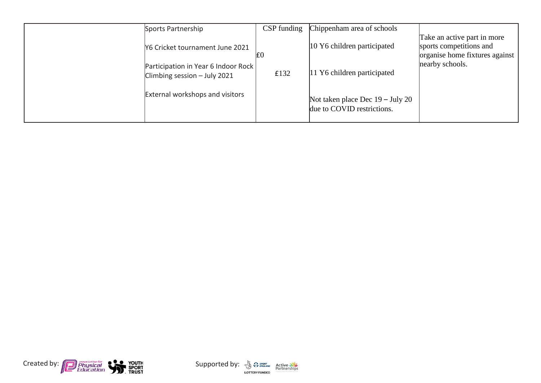| Sports Partnership                                                  | CSP funding | Chippenham area of schools                                               |                                                                                          |
|---------------------------------------------------------------------|-------------|--------------------------------------------------------------------------|------------------------------------------------------------------------------------------|
| N6 Cricket tournament June 2021                                     | Ι£Ο         | 10 Y6 children participated                                              | Take an active part in more<br>sports competitions and<br>organise home fixtures against |
| Participation in Year 6 Indoor Rock<br>Climbing session - July 2021 | £132        | 11 Y6 children participated                                              | nearby schools.                                                                          |
| <b>External workshops and visitors</b>                              |             | Not taken place Dec $19 - \text{July } 20$<br>due to COVID restrictions. |                                                                                          |